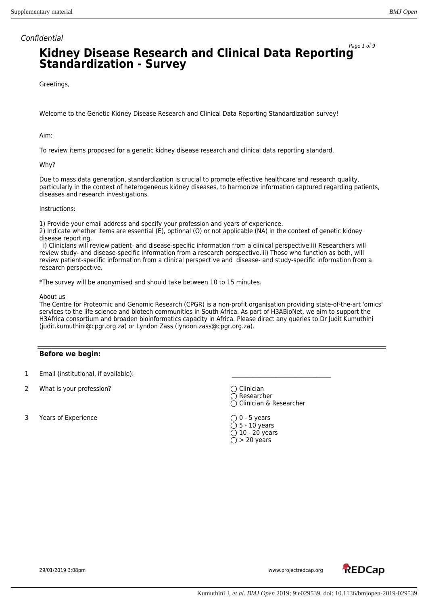# Page 1 of 9 **Kidney Disease Research and Clinical Data Reporting Standardization - Survey**

Greetings,

Welcome to the Genetic Kidney Disease Research and Clinical Data Reporting Standardization survey!

Aim:

To review items proposed for a genetic kidney disease research and clinical data reporting standard.

### Why?

Due to mass data generation, standardization is crucial to promote effective healthcare and research quality, particularly in the context of heterogeneous kidney diseases, to harmonize information captured regarding patients, diseases and research investigations.

#### Instructions:

1) Provide your email address and specify your profession and years of experience.

2) Indicate whether items are essential (E), optional (O) or not applicable (NA) in the context of genetic kidney disease reporting.

 i) Clinicians will review patient- and disease-specific information from a clinical perspective.ii) Researchers will review study- and disease-specific information from a research perspective.iii) Those who function as both, will review patient-specific information from a clinical perspective and disease- and study-specific information from a research perspective.

\*The survey will be anonymised and should take between 10 to 15 minutes.

About us

The Centre for Proteomic and Genomic Research (CPGR) is a non-profit organisation providing state-of-the-art 'omics' services to the life science and biotech communities in South Africa. As part of H3ABioNet, we aim to support the H3Africa consortium and broaden bioinformatics capacity in Africa. Please direct any queries to Dr Judit Kumuthini (judit.kumuthini@cpgr.org.za) or Lyndon Zass (lyndon.zass@cpgr.org.za).

## **Before we begin:**

- 1 Email (institutional, if available):
- 2 What is your profession? Communication of the Communication of Clinician
- 3 Years of Experience  $\bigcirc$  0 5 years

 $\overline{\bigcirc}$  Researcher ◯ Clinician & Researcher

 $\bigcirc$  5 - 10 years  $\overline{O}$  10 - 20 years  $\bigcirc$  > 20 years

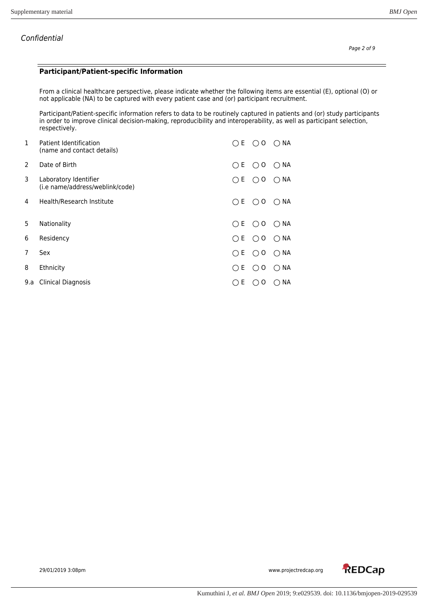### **Participant/Patient-specific Information**

From a clinical healthcare perspective, please indicate whether the following items are essential (E), optional (O) or not applicable (NA) to be captured with every patient case and (or) participant recruitment.

Participant/Patient-specific information refers to data to be routinely captured in patients and (or) study participants in order to improve clinical decision-making, reproducibility and interoperability, as well as participant selection, respectively.

| 1   | Patient Identification<br>(name and contact details)     | E.                                                | Ω               | $\cap$ NA |
|-----|----------------------------------------------------------|---------------------------------------------------|-----------------|-----------|
| 2   | Date of Birth                                            | Е<br>( )                                          | 0<br>( )        | NА<br>( ) |
| 3   | Laboratory Identifier<br>(i.e name/address/weblink/code) | Е.<br>$\bigcirc$                                  | 0<br>$\bigcirc$ | NА<br>( ) |
| 4   | Health/Research Institute                                | E.<br>$\left(\begin{array}{c} \end{array}\right)$ | ( )<br>O        | NА<br>( ) |
| 5   | Nationality                                              | E.<br>( )                                         | O<br>( )        | NА<br>( ) |
| 6   | Residency                                                | ١E.<br>◯                                          | 0<br>( )        | NА<br>( ) |
| 7   | Sex                                                      | E.<br>$\bigcirc$                                  | O<br>( )        | NА<br>( ) |
| 8   | Ethnicity                                                | E.<br>$($ )                                       | 0<br>( )        | NА<br>( ) |
| 9.a | <b>Clinical Diagnosis</b>                                | Ε                                                 | 0<br>( )        | NА<br>(   |

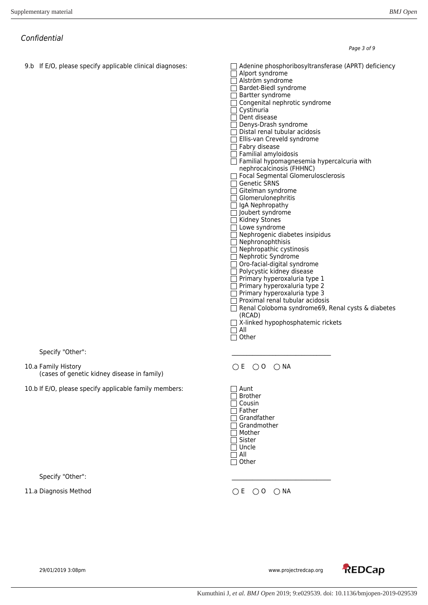**REDCap** 

Confidential

9.b If E/O, please specify applicable clinical diagnoses: <br>  $\Box$  Adenine phosphoribosyltransferase (APRT) deficiency Alport syndrome □ Alström syndrome □ Bardet-Biedl syndrome  $\Box$  Bartter syndrome Congenital nephrotic syndrome  $\Box$  Cystinuria Dent disease Denys-Drash syndrome  $\Box$  Distal renal tubular acidosis  $\Box$  Ellis-van Creveld syndrome  $\Box$  Fabry disease  $\overline{\Box}$  Familial amyloidosis  $\Box$  Familial hypomagnesemia hypercalcuria with nephrocalcinosis (FHHNC) □ Focal Segmental Glomerulosclerosis □ Genetic SRNS  $\Box$  Gitelman syndrome  $\Box$  Glomerulonephritis □ IgA Nephropathy  $\Box$  Joubert syndrome  $\overline{\square}$  Kidney Stones  $\Box$  Lowe syndrome □ Nephrogenic diabetes insipidus  $\Box$  Nephronophthisis  $\Box$  Nephropathic cystinosis □ Nephrotic Syndrome  $\Box$  Oro-facial-digital syndrome  $\Box$  Polycystic kidney disease  $\Box$  Primary hyperoxaluria type 1  $\Box$  Primary hyperoxaluria type 2  $\Box$  Primary hyperoxaluria type 3  $\Box$  Proximal renal tubular acidosis □ Renal Coloboma syndrome69, Renal cysts & diabetes (RCAD) X-linked hypophosphatemic rickets All  $\overline{\Box}$  Other Specify "Other": 10.a Family History (cases of genetic kidney disease in family)  $OE$   $OO$   $OMA$ 10.b If E/O, please specify applicable family members:  $\Box$  Aunt □ Brother  $\Box$  Cousin  $\Box$  Father  $\Box$  Grandfather  $\Box$  Grandmother □ Mother □ Sister  $\Box$  Uncle  $\overline{\Box}$  All  $\overline{\Box}$  Other Specify "Other": 11.a Diagnosis Method  $\bigcirc$  E  $\bigcirc$  O  $\bigcirc$  NA

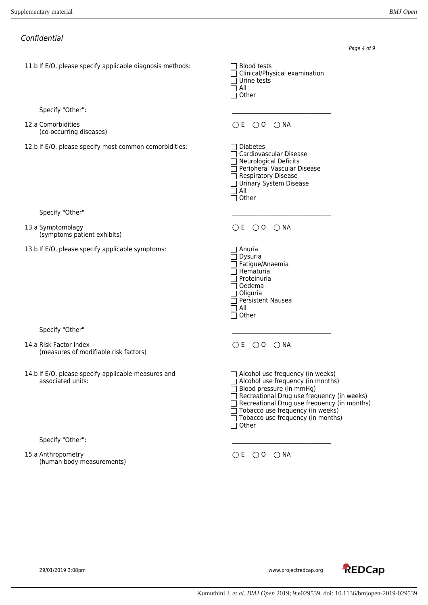11.b If E/O, please specify applicable diagnosis methods:  $\Box$  Blood tests

Specify "Other":

12.a Comorbidities (co-occurring diseases)

12.b If E/O, please specify most common comorbidities: Diabetes

Specify "Other"

13.a Symptomolagy (symptoms patient exhibits)

13.b If E/O, please specify applicable symptoms:  $\Box$  Anuria

Specify "Other"

14.a Risk Factor Index (measures of modifiable risk factors)

14.b If E/O, please specify applicable measures and  $\Box$  Alcohol use frequency (in weeks) associated units:

Specify "Other":

### 15.a Anthropometry (human body measurements)

Page 4 of 9 Clinical/Physical examination Urine tests All  $\overline{\Box}$  Other  $OE$   $OO$   $ONA$  $\Box$  Cardiovascular Disease  $\Box$  Neurological Deficits Peripheral Vascular Disease  $\overline{\Box}$  Respiratory Disease □ Urinary System Disease  $\Box$  All  $\overline{\Box}$  Other  $OE$   $OO$   $OMA$  $\overline{\Box}$  Dysuria  $\Box$  Fatigue/Anaemia  $\Box$  Hematuria  $\Box$  Proteinuria □ Oedema  $\Box$  Oliguria  $\Box$  Persistent Nausea All  $\bar{\Box}$  Other  $OE$   $OO$   $OMA$  $\Box$  Alcohol use frequency (in months)  $\Box$  Blood pressure (in mmHg) Recreational Drug use frequency (in weeks)

Recreational Drug use frequency (in months)

Tobacco use frequency (in weeks)

Tobacco use frequency (in months)  $\Box$  Other

 $OE OO ONA$ 

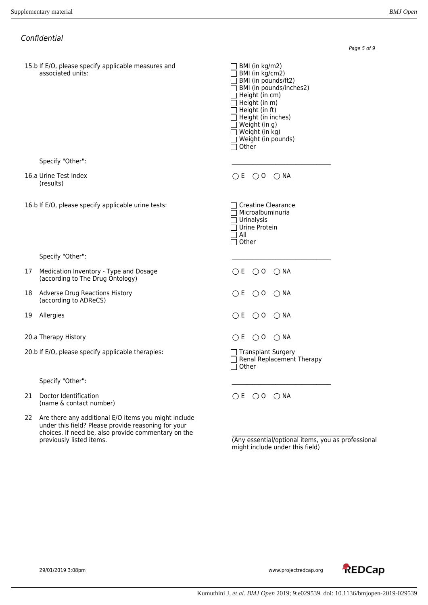Page 5 of 9

|    | Confidential                                                               |                                                                                                                                                                                                                                                                                                               |
|----|----------------------------------------------------------------------------|---------------------------------------------------------------------------------------------------------------------------------------------------------------------------------------------------------------------------------------------------------------------------------------------------------------|
|    | 15.b If E/O, please specify applicable measures and<br>associated units:   | $\Box$ BMI (in kg/m2)<br>$\Box$ BMI (in kg/cm2)<br>BMI (in pounds/ft2)<br>$\Box$ BMI (in pounds/inches2)<br>$\Box$ Height (in cm)<br>$\Box$ Height (in m)<br>$\Box$ Height (in ft)<br>$\Box$ Height (in inches)<br>$\Box$ Weight (in g)<br>$\Box$ Weight (in kg)<br>$\Box$ Weight (in pounds)<br>$\Box$ Other |
|    | Specify "Other":                                                           |                                                                                                                                                                                                                                                                                                               |
|    | 16.a Urine Test Index<br>(results)                                         | OE OO ONA                                                                                                                                                                                                                                                                                                     |
|    | 16.b If E/O, please specify applicable urine tests:                        | $\Box$ Creatine Clearance<br>$\Box$ Microalbuminuria<br>$\Box$ Urinalysis<br>$\Box$ Urine Protein<br>$\Box$ All<br>$\Box$ Other                                                                                                                                                                               |
|    | Specify "Other":                                                           |                                                                                                                                                                                                                                                                                                               |
| 17 | Medication Inventory - Type and Dosage<br>(according to The Drug Ontology) | OE OOONA                                                                                                                                                                                                                                                                                                      |
| 18 | <b>Adverse Drug Reactions History</b><br>(according to ADReCS)             | OE OO ONA                                                                                                                                                                                                                                                                                                     |
| 19 | Allergies                                                                  | OE OO ONA                                                                                                                                                                                                                                                                                                     |
|    | 20.a Therapy History                                                       | $\bigcirc$ E $\bigcirc$ O $\bigcirc$ NA                                                                                                                                                                                                                                                                       |
|    | 20.b If E/O, please specify applicable therapies:                          | □ Transplant Surgery<br>Renal Replacement Therapy<br>Other                                                                                                                                                                                                                                                    |
|    | Specify "Other":                                                           |                                                                                                                                                                                                                                                                                                               |
| 21 | Doctor Identification<br>(name & contact number)                           | OE OO ONA                                                                                                                                                                                                                                                                                                     |

22 Are there any additional E/O items you might include under this field? Please provide reasoning for your choices. If need be, also provide commentary on the previously listed items. previously listed items. (Any essential/optional items, you as professional

might include under this field)



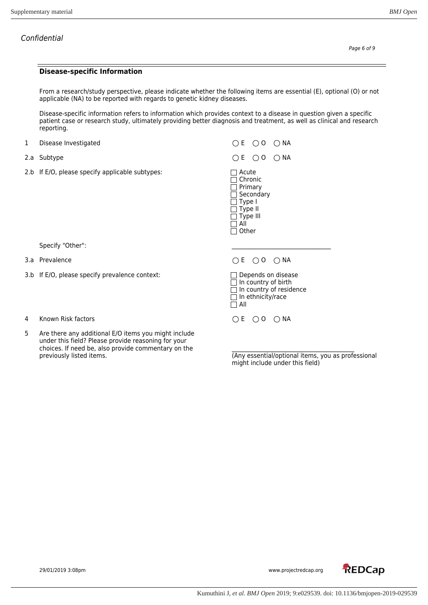#### **Disease-specific Information**

From a research/study perspective, please indicate whether the following items are essential (E), optional (O) or not applicable (NA) to be reported with regards to genetic kidney diseases.

Disease-specific information refers to information which provides context to a disease in question given a specific patient case or research study, ultimately providing better diagnosis and treatment, as well as clinical and research reporting.

- 1 Disease Investigated  $\bigcirc$  E  $\bigcirc$  O  $\bigcirc$  NA
- 
- 2.b If  $E/O$ , please specify applicable subtypes:  $\Box$  Acute

Specify "Other":

- 
- 3.b If E/O, please specify prevalence context:
	-
- 4 Known Risk factors **E** O O NA
- 5 Are there any additional E/O items you might include under this field? Please provide reasoning for your choices. If need be, also provide commentary on the previously listed items.

2.a Subtype  $\bigcirc$  E  $\bigcirc$  O  $\bigcirc$  NA

 $\overline{\Box}$  Chronic  $\Box$  Primary Secondary Type I Type II  $\overline{\Box}$  Type III  $\Box$  All  $\Box$  Other

## 3.a Prevalence  $\bigcirc$  E  $\bigcirc$  O  $\bigcirc$  NA

| $\Box$ Depends on disease      |
|--------------------------------|
| $\Box$ In country of birth     |
| $\Box$ In country of residence |
| $\Box$ In ethnicity/race       |
| $\Box$ All                     |

(Any essential/optional items, you as professional might include under this field)

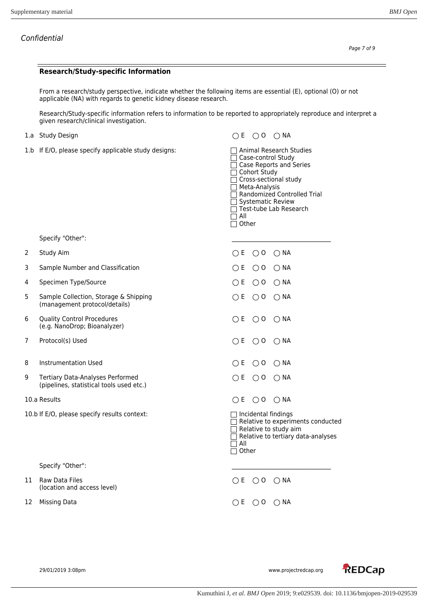#### **Research/Study-specific Information**

From a research/study perspective, indicate whether the following items are essential (E), optional (O) or not applicable (NA) with regards to genetic kidney disease research.

Research/Study-specific information refers to information to be reported to appropriately reproduce and interpret a given research/clinical investigation.

- 
- 1.b If E/O, please specify applicable study designs: <br>  $\Box$  Animal Research Studies

1.a Study Design  $\bigcirc$  E  $\bigcirc$  O  $\bigcirc$  NA

 $OE OO ONA$ 

 $OE$   $OO$   $OMA$ 

□ Case-control Study □ Case Reports and Series  $\Box$  Cohort Study  $\overline{\Box}$  Cross-sectional study □ Meta-Analysis □ Randomized Controlled Trial  $\Box$  Systematic Review  $\Box$  Test-tube Lab Research  $\overline{\Box}$  All  $\Box$  Other

Specify "Other":

- 2 Study Aim  $\bigcirc$  E  $\bigcirc$  O  $\bigcirc$  NA
- 3 Sample Number and Classification  $O E O O$  NA
- 4 Specimen Type/Source **Example:** The OC O O NA
- 5 Sample Collection, Storage & Shipping (management protocol/details)
- 6 Quality Control Procedures (e.g. NanoDrop; Bioanalyzer)
- 7 Protocol(s) Used
- 8 Instrumentation Used
- 9 Tertiary Data-Analyses Performed (pipelines, statistical tools used etc.)
- 10.a Results
- 10.b If E/O, please specify results context:

Specify "Other":

- 11 Raw Data Files (location and access level)
- 12 Missing Data

|              | ∩E ∩0 ∩NA                   |                                                                                                                         |
|--------------|-----------------------------|-------------------------------------------------------------------------------------------------------------------------|
|              | วE ∩o ∩NA                   |                                                                                                                         |
|              | ∩E ∩0 ∩NA                   |                                                                                                                         |
|              | $\cap$ e $\cap$ o $\cap$ NA |                                                                                                                         |
| All<br>Other |                             | Incidental findings<br>Relative to experiments conducted<br>Relative to study aim<br>Relative to tertiary data-analyses |

|  | OE OOONA                                |  |
|--|-----------------------------------------|--|
|  | $\bigcirc$ E $\bigcirc$ O $\bigcirc$ NA |  |

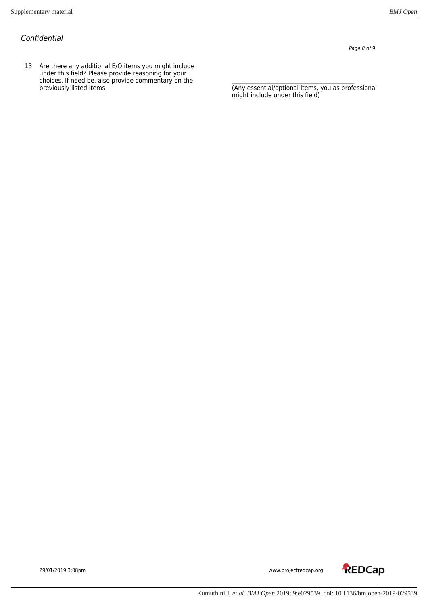13 Are there any additional E/O items you might include under this field? Please provide reasoning for your choices. If need be, also provide commentary on the \_\_\_\_\_\_\_\_\_\_\_\_\_\_\_\_\_\_\_\_\_\_\_\_\_\_\_\_\_\_\_\_\_\_\_\_\_\_\_\_\_\_ previously listed items. (Any essential/optional items, you as professional

Page 8 of 9

might include under this field)